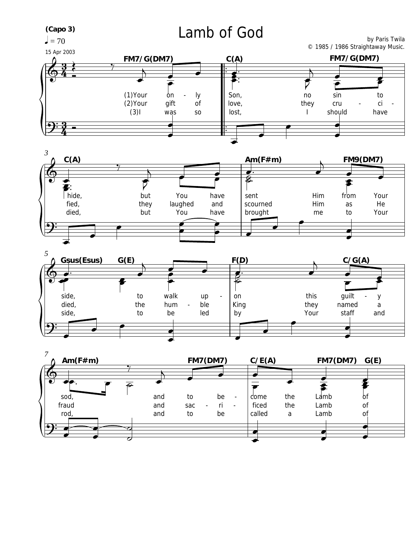

 $=70$ 

## Lamb of God

by Paris Twila © 1985 / 1986 Straightaway Music.